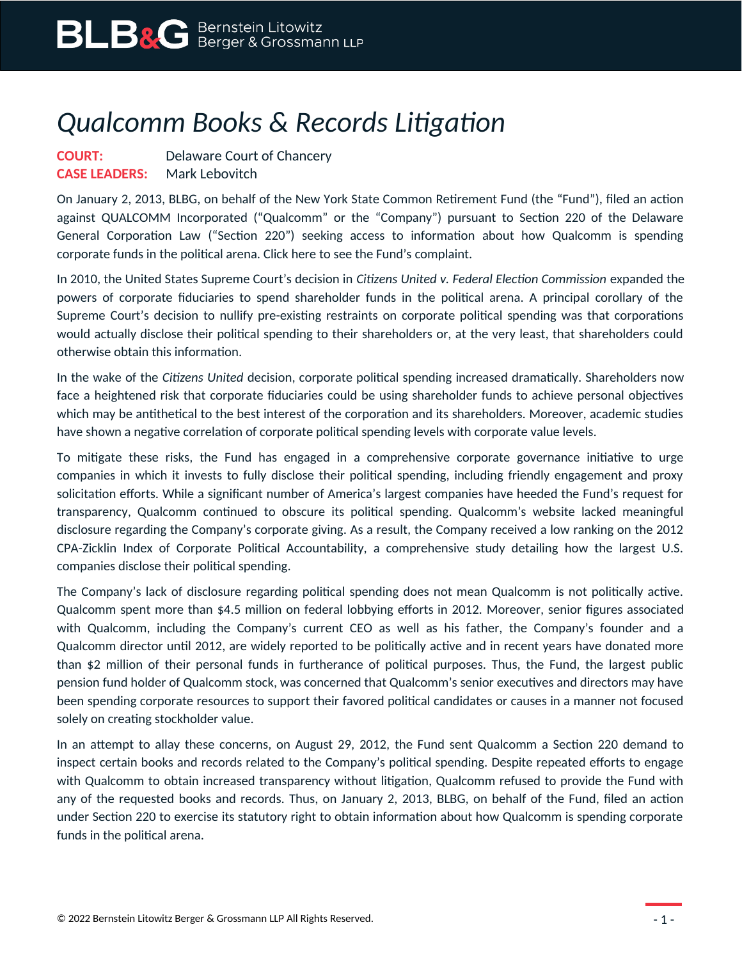## *Qualcomm Books & Records Litigation*

## **COURT:** Delaware Court of Chancery **CASE LEADERS:** Mark Lebovitch

On January 2, 2013, BLBG, on behalf of the New York State Common Retirement Fund (the "Fund"), filed an action against QUALCOMM Incorporated ("Qualcomm" or the "Company") pursuant to Section 220 of the Delaware General Corporation Law ("Section 220") seeking access to information about how Qualcomm is spending corporate funds in the political arena. Click here to see the Fund's complaint.

In 2010, the United States Supreme Court's decision in *Citizens United v. Federal Election Commission* expanded the powers of corporate fiduciaries to spend shareholder funds in the political arena. A principal corollary of the Supreme Court's decision to nullify pre-existing restraints on corporate political spending was that corporations would actually disclose their political spending to their shareholders or, at the very least, that shareholders could otherwise obtain this information.

In the wake of the *Citizens United* decision, corporate political spending increased dramatically. Shareholders now face a heightened risk that corporate fiduciaries could be using shareholder funds to achieve personal objectives which may be antithetical to the best interest of the corporation and its shareholders. Moreover, academic studies have shown a negative correlation of corporate political spending levels with corporate value levels.

To mitigate these risks, the Fund has engaged in a comprehensive corporate governance initiative to urge companies in which it invests to fully disclose their political spending, including friendly engagement and proxy solicitation efforts. While a significant number of America's largest companies have heeded the Fund's request for transparency, Qualcomm continued to obscure its political spending. Qualcomm's website lacked meaningful disclosure regarding the Company's corporate giving. As a result, the Company received a low ranking on the 2012 CPA-Zicklin Index of Corporate Political Accountability, a comprehensive study detailing how the largest U.S. companies disclose their political spending.

The Company's lack of disclosure regarding political spending does not mean Qualcomm is not politically active. Qualcomm spent more than \$4.5 million on federal lobbying efforts in 2012. Moreover, senior figures associated with Qualcomm, including the Company's current CEO as well as his father, the Company's founder and a Qualcomm director until 2012, are widely reported to be politically active and in recent years have donated more than \$2 million of their personal funds in furtherance of political purposes. Thus, the Fund, the largest public pension fund holder of Qualcomm stock, was concerned that Qualcomm's senior executives and directors may have been spending corporate resources to support their favored political candidates or causes in a manner not focused solely on creating stockholder value.

In an attempt to allay these concerns, on August 29, 2012, the Fund sent Qualcomm a Section 220 demand to inspect certain books and records related to the Company's political spending. Despite repeated efforts to engage with Qualcomm to obtain increased transparency without litigation, Qualcomm refused to provide the Fund with any of the requested books and records. Thus, on January 2, 2013, BLBG, on behalf of the Fund, filed an action under Section 220 to exercise its statutory right to obtain information about how Qualcomm is spending corporate funds in the political arena.